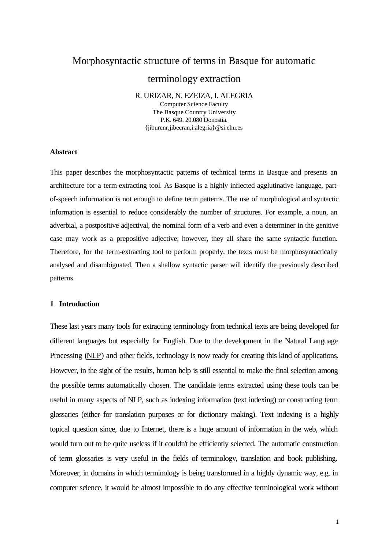# Morphosyntactic structure of terms in Basque for automatic

# terminology extraction

R. URIZAR, N. EZEIZA, I. ALEGRIA

Computer Science Faculty The Basque Country University P.K. 649. 20.080 Donostia. {jiburenr,jibecran,i.alegria}@si.ehu.es

#### **Abstract**

This paper describes the morphosyntactic patterns of technical terms in Basque and presents an architecture for a term-extracting tool. As Basque is a highly inflected agglutinative language, partof-speech information is not enough to define term patterns. The use of morphological and syntactic information is essential to reduce considerably the number of structures. For example, a noun, an adverbial, a postpositive adjectival, the nominal form of a verb and even a determiner in the genitive case may work as a prepositive adjective; however, they all share the same syntactic function. Therefore, for the term-extracting tool to perform properly, the texts must be morphosyntactically analysed and disambiguated. Then a shallow syntactic parser will identify the previously described patterns.

### **1 Introduction**

These last years many tools for extracting terminology from technical texts are being developed for different languages but especially for English. Due to the development in the Natural Language Processing (NLP) and other fields, technology is now ready for creating this kind of applications. However, in the sight of the results, human help is still essential to make the final selection among the possible terms automatically chosen. The candidate terms extracted using these tools can be useful in many aspects of NLP, such as indexing information (text indexing) or constructing term glossaries (either for translation purposes or for dictionary making). Text indexing is a highly topical question since, due to Internet, there is a huge amount of information in the web, which would turn out to be quite useless if it couldn't be efficiently selected. The automatic construction of term glossaries is very useful in the fields of terminology, translation and book publishing. Moreover, in domains in which terminology is being transformed in a highly dynamic way, e.g. in computer science, it would be almost impossible to do any effective terminological work without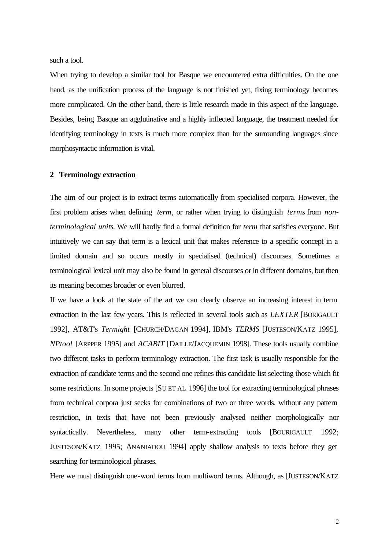such a tool.

When trying to develop a similar tool for Basque we encountered extra difficulties. On the one hand, as the unification process of the language is not finished yet, fixing terminology becomes more complicated. On the other hand, there is little research made in this aspect of the language. Besides, being Basque an agglutinative and a highly inflected language, the treatment needed for identifying terminology in texts is much more complex than for the surrounding languages since morphosyntactic information is vital.

## **2 Terminology extraction**

The aim of our project is to extract terms automatically from specialised corpora. However, the first problem arises when defining *term*, or rather when trying to distinguish *terms* from *nonterminological units*. We will hardly find a formal definition for *term* that satisfies everyone. But intuitively we can say that term is a lexical unit that makes reference to a specific concept in a limited domain and so occurs mostly in specialised (technical) discourses. Sometimes a terminological lexical unit may also be found in general discourses or in different domains, but then its meaning becomes broader or even blurred.

If we have a look at the state of the art we can clearly observe an increasing interest in term extraction in the last few years. This is reflected in several tools such as *LEXTER* [BORIGAULT 1992], AT&T's *Termight* [CHURCH/DAGAN 1994], IBM's *TERMS* [JUSTESON/KATZ 1995], *NPtool* [ARPPER 1995] and *ACABIT* [DAILLE/JACQUEMIN 1998]. These tools usually combine two different tasks to perform terminology extraction. The first task is usually responsible for the extraction of candidate terms and the second one refines this candidate list selecting those which fit some restrictions. In some projects [SU ET AL. 1996] the tool for extracting terminological phrases from technical corpora just seeks for combinations of two or three words, without any pattern restriction, in texts that have not been previously analysed neither morphologically nor syntactically. Nevertheless, many other term-extracting tools [BOURIGAULT 1992; JUSTESON/KATZ 1995; ANANIADOU 1994] apply shallow analysis to texts before they get searching for terminological phrases.

Here we must distinguish one-word terms from multiword terms. Although, as [JUSTESON/KATZ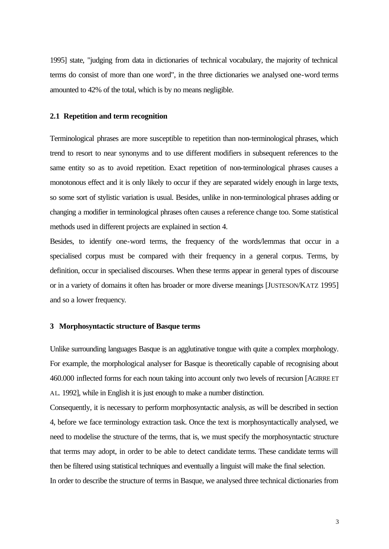1995] state, "judging from data in dictionaries of technical vocabulary, the majority of technical terms do consist of more than one word", in the three dictionaries we analysed one-word terms amounted to 42% of the total, which is by no means negligible.

#### **2.1 Repetition and term recognition**

Terminological phrases are more susceptible to repetition than non-terminological phrases, which trend to resort to near synonyms and to use different modifiers in subsequent references to the same entity so as to avoid repetition. Exact repetition of non-terminological phrases causes a monotonous effect and it is only likely to occur if they are separated widely enough in large texts, so some sort of stylistic variation is usual. Besides, unlike in non-terminological phrases adding or changing a modifier in terminological phrases often causes a reference change too. Some statistical methods used in different projects are explained in section 4.

Besides, to identify one-word terms, the frequency of the words/lemmas that occur in a specialised corpus must be compared with their frequency in a general corpus. Terms, by definition, occur in specialised discourses. When these terms appear in general types of discourse or in a variety of domains it often has broader or more diverse meanings [JUSTESON/KATZ 1995] and so a lower frequency.

### **3 Morphosyntactic structure of Basque terms**

Unlike surrounding languages Basque is an agglutinative tongue with quite a complex morphology. For example, the morphological analyser for Basque is theoretically capable of recognising about 460.000 inflected forms for each noun taking into account only two levels of recursion [AGIRRE ET AL. 1992], while in English it is just enough to make a number distinction.

Consequently, it is necessary to perform morphosyntactic analysis, as will be described in section 4, before we face terminology extraction task. Once the text is morphosyntactically analysed, we need to modelise the structure of the terms, that is, we must specify the morphosyntactic structure that terms may adopt, in order to be able to detect candidate terms. These candidate terms will then be filtered using statistical techniques and eventually a linguist will make the final selection. In order to describe the structure of terms in Basque, we analysed three technical dictionaries from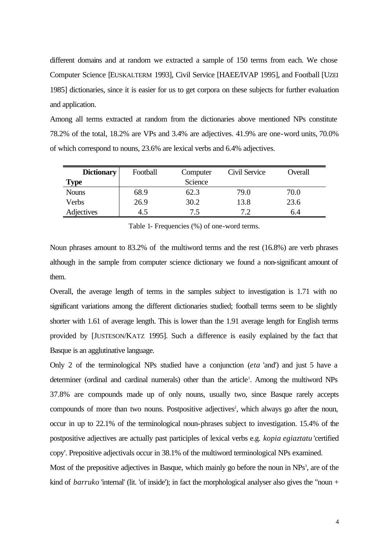different domains and at random we extracted a sample of 150 terms from each. We chose Computer Science [EUSKALTERM 1993], Civil Service [HAEE/IVAP 1995], and Football [UZEI 1985] dictionaries, since it is easier for us to get corpora on these subjects for further evaluation and application.

Among all terms extracted at random from the dictionaries above mentioned NPs constitute 78.2% of the total, 18.2% are VPs and 3.4% are adjectives. 41.9% are one-word units, 70.0% of which correspond to nouns, 23.6% are lexical verbs and 6.4% adjectives.

| <b>Dictionary</b> | Football | Computer |      | Overall |  |  |  |
|-------------------|----------|----------|------|---------|--|--|--|
| <b>Type</b>       | Science  |          |      |         |  |  |  |
| <b>Nouns</b>      | 68.9     | 62.3     | 79.0 | 70.0    |  |  |  |
| Verbs             | 26.9     | 30.2     | 13.8 | 23.6    |  |  |  |
| Adjectives        | 4.5      | 7.5      | 7.2  | 6.4     |  |  |  |

Table 1- Frequencies (%) of one-word terms.

Noun phrases amount to 83.2% of the multiword terms and the rest (16.8%) are verb phrases although in the sample from computer science dictionary we found a non-significant amount of them.

Overall, the average length of terms in the samples subject to investigation is 1.71 with no significant variations among the different dictionaries studied; football terms seem to be slightly shorter with 1.61 of average length. This is lower than the 1.91 average length for English terms provided by [JUSTESON/KATZ 1995]. Such a difference is easily explained by the fact that Basque is an agglutinative language.

Only 2 of the terminological NPs studied have a conjunction (*eta* 'and') and just 5 have a determiner (ordinal and cardinal numerals) other than the article<sup>1</sup>. Among the multiword NPs 37.8% are compounds made up of only nouns, usually two, since Basque rarely accepts compounds of more than two nouns. Postpositive adjectives<sup>2</sup>, which always go after the noun, occur in up to 22.1% of the terminological noun-phrases subject to investigation. 15.4% of the postpositive adjectives are actually past participles of lexical verbs e.g. *kopia egiaztatu* 'certified copy'. Prepositive adjectivals occur in 38.1% of the multiword terminological NPs examined.

Most of the prepositive adjectives in Basque, which mainly go before the noun in NPs<sup>3</sup>, are of the kind of *barruko* 'internal' (lit. 'of inside'); in fact the morphological analyser also gives the "noun +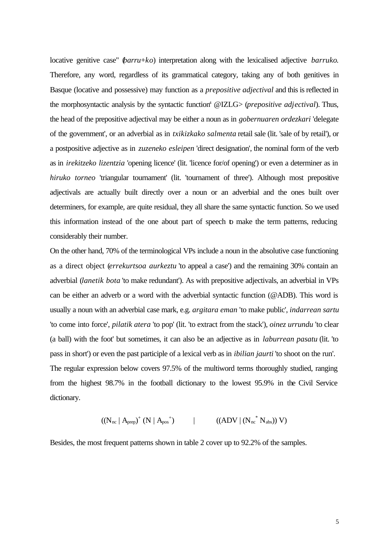locative genitive case" (*barru*+*ko*) interpretation along with the lexicalised adjective *barruko*. Therefore, any word, regardless of its grammatical category, taking any of both genitives in Basque (locative and possessive) may function as a *prepositive adjectival* and this is reflected in the morphosyntactic analysis by the syntactic function<sup>4</sup> @IZLG> (*prepositive adjectival*). Thus, the head of the prepositive adjectival may be either a noun as in *gobernuaren ordezkari* 'delegate of the government', or an adverbial as in *txikizkako salmenta* retail sale (lit. 'sale of by retail'), or a postpositive adjective as in *zuzeneko esleipen* 'direct designation', the nominal form of the verb as in *irekitzeko lizentzia* 'opening licence' (lit. 'licence for/of opening') or even a determiner as in *hiruko torneo* 'triangular tournament' (lit. 'tournament of three'). Although most prepositive adjectivals are actually built directly over a noun or an adverbial and the ones built over determiners, for example, are quite residual, they all share the same syntactic function. So we used this information instead of the one about part of speech to make the term patterns, reducing considerably their number.

On the other hand, 70% of the terminological VPs include a noun in the absolutive case functioning as a direct object (*errekurtsoa aurkeztu* 'to appeal a case') and the remaining 30% contain an adverbial (*lanetik bota* 'to make redundant'). As with prepositive adjectivals, an adverbial in VPs can be either an adverb or a word with the adverbial syntactic function (@ADB). This word is usually a noun with an adverbial case mark, e.g. *argitara eman* 'to make public', *indarrean sartu* 'to come into force', *pilatik atera* 'to pop' (lit. 'to extract from the stack'), *oinez urrundu* 'to clear (a ball) with the foot' but sometimes, it can also be an adjective as in *laburrean pasatu* (lit. 'to pass in short') or even the past participle of a lexical verb as in *ibilian jaurti* 'to shoot on the run'. The regular expression below covers 97.5% of the multiword terms thoroughly studied, ranging from the highest 98.7% in the football dictionary to the lowest 95.9% in the Civil Service dictionary.

$$
((N_{nc} | A_{prep})^+ (N | A_{pos}^+) \qquad \qquad | \qquad ((ADV | (N_{nc}^* N_{abs})) V)
$$

Besides, the most frequent patterns shown in table 2 cover up to 92.2% of the samples.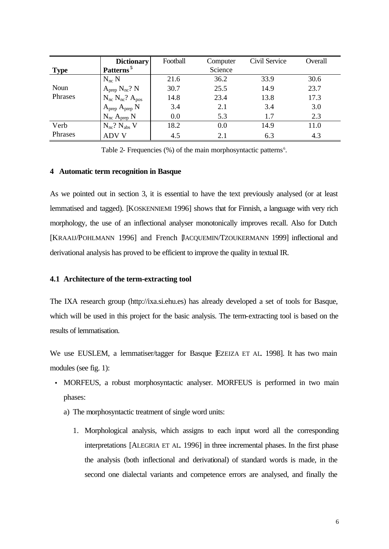|                 | <b>Dictionary</b>           | Football | Computer | Civil Service | Overall |
|-----------------|-----------------------------|----------|----------|---------------|---------|
| <b>Type</b>     | Patterns <sup>5</sup>       |          | Science  |               |         |
|                 | $N_{nc} N$                  | 21.6     | 36.2     | 33.9          | 30.6    |
| Noun<br>Phrases | $A_{prep} N_{nc}$ ? N       | 30.7     | 25.5     | 14.9          | 23.7    |
|                 | $N_{nc} N_{nc}$ ? $A_{pos}$ | 14.8     | 23.4     | 13.8          | 17.3    |
|                 | $A_{prep} A_{prep} N$       | 3.4      | 2.1      | 3.4           | 3.0     |
|                 | $N_{nc}$ $A_{prep}$ $N$     | 0.0      | 5.3      | 1.7           | 2.3     |
| Verb            | $N_{nc}$ ? $N_{abs}$ V      | 18.2     | 0.0      | 14.9          | 11.0    |
| Phrases         | <b>ADV V</b>                | 4.5      | 2.1      | 6.3           | 4.3     |

Table 2- Frequencies (%) of the main morphosyntactic patterns<sup>6</sup>.

### **4 Automatic term recognition in Basque**

As we pointed out in section 3, it is essential to have the text previously analysed (or at least lemmatised and tagged). [KOSKENNIEMI 1996] shows that for Finnish, a language with very rich morphology, the use of an inflectional analyser monotonically improves recall. Also for Dutch [KRAAIJ/POHLMANN 1996] and French [JACQUEMIN/TZOUKERMANN 1999] inflectional and derivational analysis has proved to be efficient to improve the quality in textual IR.

### **4.1 Architecture of the term-extracting tool**

The IXA research group (http://ixa.si.ehu.es) has already developed a set of tools for Basque, which will be used in this project for the basic analysis. The term-extracting tool is based on the results of lemmatisation.

We use EUSLEM, a lemmatiser/tagger for Basque EZEIZA ET AL 1998. It has two main modules (see fig. 1):

- MORFEUS, a robust morphosyntactic analyser. MORFEUS is performed in two main phases:
	- a) The morphosyntactic treatment of single word units:
		- 1. Morphological analysis, which assigns to each input word all the corresponding interpretations [ALEGRIA ET AL. 1996] in three incremental phases. In the first phase the analysis (both inflectional and derivational) of standard words is made, in the second one dialectal variants and competence errors are analysed, and finally the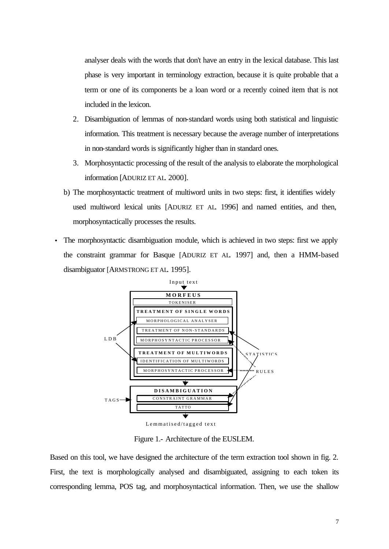analyser deals with the words that don't have an entry in the lexical database. This last phase is very important in terminology extraction, because it is quite probable that a term or one of its components be a loan word or a recently coined item that is not included in the lexicon.

- 2. Disambiguation of lemmas of non-standard words using both statistical and linguistic information. This treatment is necessary because the average number of interpretations in non-standard words is significantly higher than in standard ones.
- 3. Morphosyntactic processing of the result of the analysis to elaborate the morphological information [ADURIZ ET AL. 2000].
- b) The morphosyntactic treatment of multiword units in two steps: first, it identifies widely used multiword lexical units [ADURIZ ET AL. 1996] and named entities, and then, morphosyntactically processes the results.
- The morphosyntactic disambiguation module, which is achieved in two steps: first we apply the constraint grammar for Basque [ADURIZ ET AL. 1997] and, then a HMM-based disambiguator [ARMSTRONG ET AL. 1995].



Figure 1.- Architecture of the EUSLEM.

Based on this tool, we have designed the architecture of the term extraction tool shown in fig. 2. First, the text is morphologically analysed and disambiguated, assigning to each token its corresponding lemma, POS tag, and morphosyntactical information. Then, we use the shallow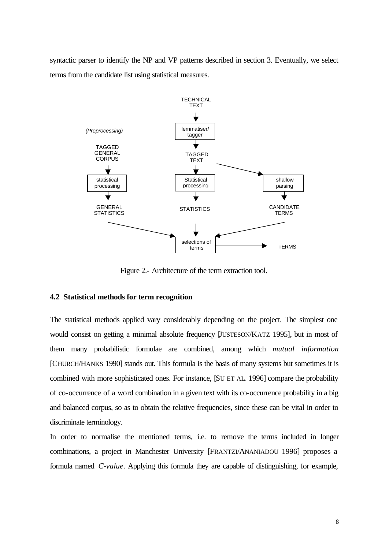syntactic parser to identify the NP and VP patterns described in section 3. Eventually, we select terms from the candidate list using statistical measures.



Figure 2.- Architecture of the term extraction tool.

## **4.2 Statistical methods for term recognition**

The statistical methods applied vary considerably depending on the project. The simplest one would consist on getting a minimal absolute frequency [JUSTESON/KATZ 1995], but in most of them many probabilistic formulae are combined, among which *mutual information* [CHURCH/HANKS 1990] stands out. This formula is the basis of many systems but sometimes it is combined with more sophisticated ones. For instance, [SU ET AL. 1996] compare the probability of co-occurrence of a word combination in a given text with its co-occurrence probability in a big and balanced corpus, so as to obtain the relative frequencies, since these can be vital in order to discriminate terminology.

In order to normalise the mentioned terms, i.e. to remove the terms included in longer combinations, a project in Manchester University [FRANTZI/ANANIADOU 1996] proposes a formula named *C-value*. Applying this formula they are capable of distinguishing, for example,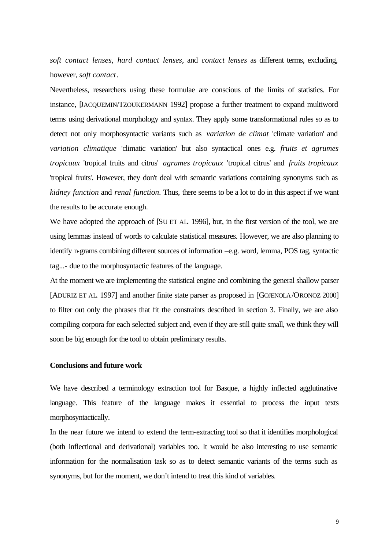*soft contact lenses*, *hard contact lenses*, and *contact lenses* as different terms, excluding, however, *soft contact*.

Nevertheless, researchers using these formulae are conscious of the limits of statistics. For instance, [JACQUEMIN/TZOUKERMANN 1992] propose a further treatment to expand multiword terms using derivational morphology and syntax. They apply some transformational rules so as to detect not only morphosyntactic variants such as *variation de climat* 'climate variation' and *variation climatique* 'climatic variation' but also syntactical ones e.g. *fruits et agrumes tropicaux* 'tropical fruits and citrus' *agrumes tropicaux* 'tropical citrus' and *fruits tropicaux* 'tropical fruits'. However, they don't deal with semantic variations containing synonyms such as *kidney function* and *renal function*. Thus, there seems to be a lot to do in this aspect if we want the results to be accurate enough.

We have adopted the approach of [SU ET AL. 1996], but, in the first version of the tool, we are using lemmas instead of words to calculate statistical measures. However, we are also planning to identify n-grams combining different sources of information –e.g. word, lemma, POS tag, syntactic tag...- due to the morphosyntactic features of the language.

At the moment we are implementing the statistical engine and combining the general shallow parser [ADURIZ ET AL. 1997] and another finite state parser as proposed in [GOJENOLA/ORONOZ 2000] to filter out only the phrases that fit the constraints described in section 3. Finally, we are also compiling corpora for each selected subject and, even if they are still quite small, we think they will soon be big enough for the tool to obtain preliminary results.

# **Conclusions and future work**

We have described a terminology extraction tool for Basque, a highly inflected agglutinative language. This feature of the language makes it essential to process the input texts morphosyntactically.

In the near future we intend to extend the term-extracting tool so that it identifies morphological (both inflectional and derivational) variables too. It would be also interesting to use semantic information for the normalisation task so as to detect semantic variants of the terms such as synonyms, but for the moment, we don't intend to treat this kind of variables.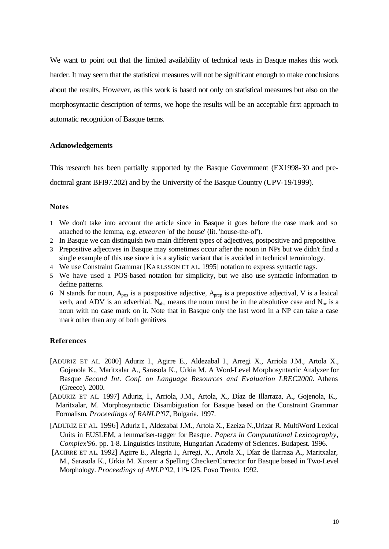We want to point out that the limited availability of technical texts in Basque makes this work harder. It may seem that the statistical measures will not be significant enough to make conclusions about the results. However, as this work is based not only on statistical measures but also on the morphosyntactic description of terms, we hope the results will be an acceptable first approach to automatic recognition of Basque terms.

### **Acknowledgements**

This research has been partially supported by the Basque Government (EX1998-30 and predoctoral grant BFI97.202) and by the University of the Basque Country (UPV-19/1999).

#### **Notes**

- 1 We don't take into account the article since in Basque it goes before the case mark and so attached to the lemma, e.g. *etxearen* 'of the house' (lit. 'house-the-of').
- 2 In Basque we can distinguish two main different types of adjectives, postpositive and prepositive.
- 3 Prepositive adjectives in Basque may sometimes occur after the noun in NPs but we didn't find a single example of this use since it is a stylistic variant that is avoided in technical terminology.
- 4 We use Constraint Grammar [KARLSSON ET AL. 1995] notation to express syntactic tags.
- 5 We have used a POS-based notation for simplicity, but we also use syntactic information to define patterns.
- 6 N stands for noun,  $A_{pos}$  is a postpositive adjective,  $A_{prep}$  is a prepositive adjectival, V is a lexical verb, and ADV is an adverbial. N<sub>abs</sub> means the noun must be in the absolutive case and N<sub>nc</sub> is a noun with no case mark on it. Note that in Basque only the last word in a NP can take a case mark other than any of both genitives.

# **References**

- [ADURIZ ET AL. 2000] Aduriz I., Agirre E., Aldezabal I., Arregi X., Arriola J.M., Artola X., Gojenola K., Maritxalar A., Sarasola K., Urkia M. A Word-Level Morphosyntactic Analyzer for Basque *Second Int. Conf. on Language Resources and Evaluation LREC2000*. Athens (Greece). 2000.
- [ADURIZ ET AL. 1997] Aduriz, I., Arriola, J.M., Artola, X., Díaz de Illarraza, A., Gojenola, K., Maritxalar, M. Morphosyntactic Disambiguation for Basque based on the Constraint Grammar Formalism*. Proceedings of RANLP'97*, Bulgaria. 1997.
- [ADURIZ ET AL. 1996] Aduriz I., Aldezabal J.M., Artola X., Ezeiza N.,Urizar R. MultiWord Lexical Units in EUSLEM, a lemmatiser-tagger for Basque*. Papers in Computational Lexicography, Complex'96.* pp. 1-8. Linguistics Institute, Hungarian Academy of Sciences. Budapest. 1996.
- [AGIRRE ET AL. 1992] Agirre E., Alegria I., Arregi, X., Artola X., Díaz de Ilarraza A., Maritxalar, M., Sarasola K., Urkia M. Xuxen: a Spelling Checker/Corrector for Basque based in Two-Level Morphology. *Proceedings of ANLP'92*, 119-125. Povo Trento. 1992.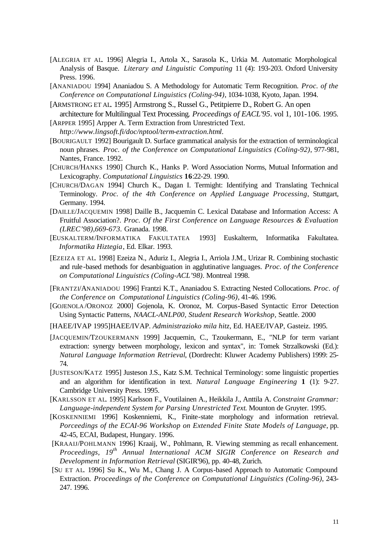- [ALEGRIA ET AL. 1996] Alegria I., Artola X., Sarasola K., Urkia M. Automatic Morphological Analysis of Basque. *Literary and Linguistic Computing* 11 (4): 193-203. Oxford University Press. 1996.
- [ANANIADOU 1994] Ananiadou S. A Methodology for Automatic Term Recognition. *Proc. of the Conference on Computational Linguistics (Coling-94)*, 1034-1038, Kyoto, Japan. 1994.
- [ARMSTRONG ET AL. 1995] Armstrong S., Russel G., Petitpierre D., Robert G. An open architecture for Multilingual Text Processing*. Proceedings of EACL'95*. vol 1, 101-106. 1995.
- [ARPPER 1995] Arpper A. Term Extraction from Unrestricted Text. *http://www.lingsoft.fi/doc/nptool/term-extraction.html*.
- [BOURIGAULT 1992] Bourigault D. Surface grammatical analysis for the extraction of terminological noun phrases. *Proc. of the Conference on Computational Linguistics (Coling-92)*, 977-981, Nantes, France. 1992.
- [CHURCH/HANKS 1990] Church K., Hanks P. Word Association Norms, Mutual Information and Lexicography. *Computational Linguistics* **16**:22-29. 1990.
- [CHURCH/DAGAN 1994] Church K., Dagan I. Termight: Identifying and Translating Technical Terminology. *Proc. of the 4th Conference on Applied Language Processing*, Stuttgart, Germany. 1994.
- [DAILLE/JACQUEMIN 1998] Daille B., Jacquemin C. Lexical Database and Information Access: A Fruitful Association?. *Proc. Of the First Conference on Language Resources & Evaluation (LREC'98),669-673.* Granada. 1998.
- [EUSKALTERM/INFORMATIKA FAKULTATEA 1993] Euskalterm, Informatika Fakultatea. *Informatika Hiztegia*, Ed. Elkar. 1993.
- [EZEIZA ET AL. 1998] Ezeiza N., Aduriz I., Alegria I., Arriola J.M., Urizar R. Combining stochastic and rule-based methods for desanbiguation in agglutinative languages. *Proc. of the Conference on Computational Linguistics (Coling-ACL'98)*. Montreal 1998.
- [FRANTZI/ANANIADOU 1996] Frantzi K.T., Ananiadou S. Extracting Nested Collocations. *Proc. of the Conference on Computational Linguistics (Coling-96)*, 41-46. 1996.
- [GOJENOLA /ORONOZ 2000] Gojenola, K. Oronoz, M. Corpus-Based Syntactic Error Detection Using Syntactic Patterns, *NAACL-ANLP00, Student Research Workshop,* Seattle. 2000
- [HAEE/IVAP 1995]HAEE/IVAP. *Administrazioko mila hitz*, Ed. HAEE/IVAP, Gasteiz. 1995.
- [JACQUEMIN/TZOUKERMANN 1999] Jacquemin, C., Tzoukermann, E., "NLP for term variant extraction: synergy between morphology, lexicon and syntax", in: Tomek Strzalkowski (Ed.): *Natural Language Information Retrieval*, (Dordrecht: Kluwer Academy Publishers) 1999: 25- 74.
- [JUSTESON/KATZ 1995] Justeson J.S., Katz S.M. Technical Terminology: some linguistic properties and an algorithm for identification in text. *Natural Language Engineering* **1** (1): 9-27. Cambridge University Press. 1995.
- [KARLSSON ET AL. 1995] Karlsson F., Voutilainen A., Heikkila J., Anttila A. *Constraint Grammar: Language-independent System for Parsing Unrestricted Text*. Mounton de Gruyter. 1995.
- [KOSKENNIEMI 1996] Koskenniemi, K., Finite-state morphology and information retrieval. *Porceedings of the ECAI-96 Workshop on Extended Finite State Models of Language*, pp. 42-45, ECAI, Budapest, Hungary. 1996.
- [KRAAIJ/POHLMANN 1996] Kraaij, W., Pohlmann, R. Viewing stemming as recall enhancement. *Proceedings, 19th Annual International ACM SIGIR Conference on Research and Development in Information Retrieval* (SIGIR'96), pp. 40-48, Zurich.
- [SU ET AL. 1996] Su K., Wu M., Chang J. A Corpus-based Approach to Automatic Compound Extraction. *Proceedings of the Conference on Computational Linguistics (Coling-96)*, 243- 247. 1996.